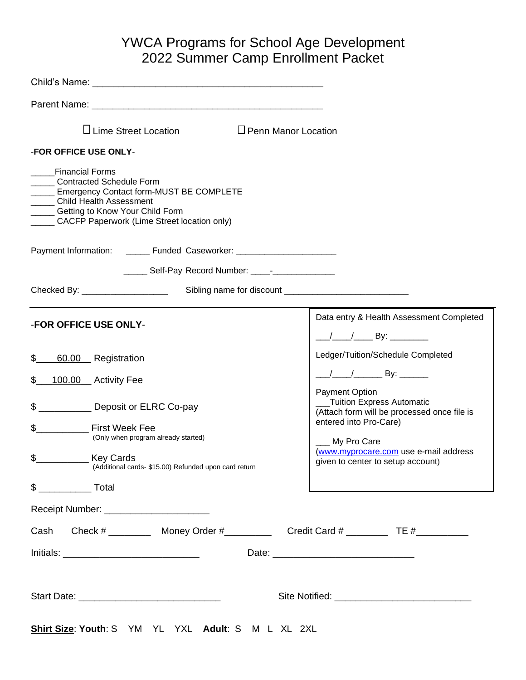# YWCA Programs for School Age Development 2022 Summer Camp Enrollment Packet

| $\Box$ Lime Street Location<br>$\Box$ Penn Manor Location                                                                                                                                                                       |                                                                                                      |
|---------------------------------------------------------------------------------------------------------------------------------------------------------------------------------------------------------------------------------|------------------------------------------------------------------------------------------------------|
| -FOR OFFICE USE ONLY-                                                                                                                                                                                                           |                                                                                                      |
| Financial Forms<br>______ Contracted Schedule Form<br><b>______ Emergency Contact form-MUST BE COMPLETE</b><br>Child Health Assessment<br>______ Getting to Know Your Child Form<br>CACFP Paperwork (Lime Street location only) |                                                                                                      |
| Payment Information: _______ Funded Caseworker: ________________________________                                                                                                                                                |                                                                                                      |
| ______ Self-Pay Record Number: ____- ______________                                                                                                                                                                             |                                                                                                      |
|                                                                                                                                                                                                                                 |                                                                                                      |
| -FOR OFFICE USE ONLY-                                                                                                                                                                                                           | Data entry & Health Assessment Completed                                                             |
| \$<br>60.00 Registration                                                                                                                                                                                                        | Ledger/Tuition/Schedule Completed                                                                    |
| \$<br>100.00 __ Activity Fee                                                                                                                                                                                                    | Payment Option                                                                                       |
| \$<br>Deposit or ELRC Co-pay<br>\$<br><b>Example 15 First Week Fee</b>                                                                                                                                                          | __Tuition Express Automatic<br>(Attach form will be processed once file is<br>entered into Pro-Care) |
| (Only when program already started)<br>\$<br><b>Key Cards</b><br>(Additional cards- \$15.00) Refunded upon card return                                                                                                          | My Pro Care<br>(www.myprocare.com use e-mail address<br>given to center to setup account)            |
| $\frac{1}{2}$ Total                                                                                                                                                                                                             | the control of the control of the control of the control of the control of the control of            |
|                                                                                                                                                                                                                                 |                                                                                                      |
| Cash Check # _________ Money Order # _________ Credit Card # ________ TE # ______                                                                                                                                               |                                                                                                      |
|                                                                                                                                                                                                                                 |                                                                                                      |
|                                                                                                                                                                                                                                 |                                                                                                      |
| Shirt Size: Youth: S YM YL YXL Adult: S M L XL 2XL                                                                                                                                                                              |                                                                                                      |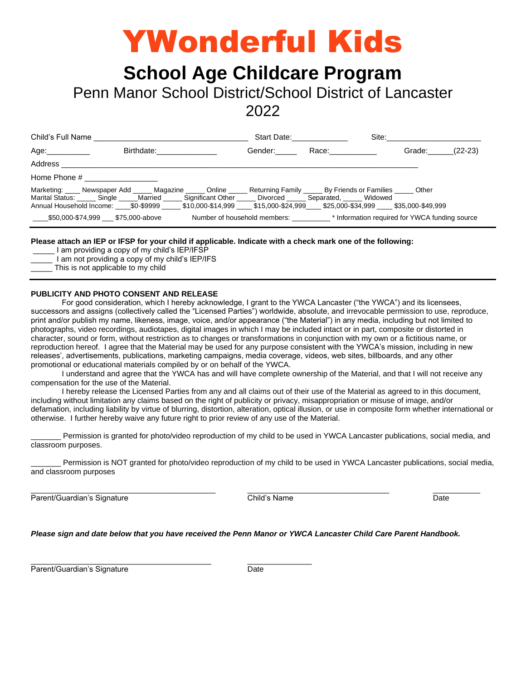# YWonderful Kids

# **School Age Childcare Program**

Penn Manor School District/School District of Lancaster

2022

| Child's Full Name        |                                                                                                                                                                                                                                                                                                                           | Start Date: The Start Date: |                                                                                                                 | Site: <b>Site</b> Site of the Site of the Site of the Site of the Site of the Site of the Site of the Site of the Site of the Site of the Site of the Site of the Site of the Site of the Site of the Site of the Site of the Site |           |
|--------------------------|---------------------------------------------------------------------------------------------------------------------------------------------------------------------------------------------------------------------------------------------------------------------------------------------------------------------------|-----------------------------|-----------------------------------------------------------------------------------------------------------------|------------------------------------------------------------------------------------------------------------------------------------------------------------------------------------------------------------------------------------|-----------|
| Age:___________          | Birthdate: Electronic Secrets and Secrets and Secrets and Secrets and Secrets and Secrets and Secrets and Secrets and Secrets and Secrets and Secrets and Secrets and Secrets and Secrets and Secrets and Secrets and Secrets                                                                                             | Gender:                     | Race: with a state of the state of the state of the state of the state of the state of the state of the state o | Grade:                                                                                                                                                                                                                             | $(22-23)$ |
| Address                  |                                                                                                                                                                                                                                                                                                                           |                             |                                                                                                                 |                                                                                                                                                                                                                                    |           |
| Home Phone # Figure 2014 |                                                                                                                                                                                                                                                                                                                           |                             |                                                                                                                 |                                                                                                                                                                                                                                    |           |
|                          | Marketing: Newspaper Add Magazine Online Returning Family By Friends or Families Other<br>Marital Status: ______ Single _____Married _____ Significant Other _____ Divorced _____ Separated, _____ Widowed<br>Annual Household Income: \$0-\$9999 \$10,000-\$14,999 \$15,000-\$24,999 \$25,000-\$34,999 \$35,000-\$49,999 |                             |                                                                                                                 |                                                                                                                                                                                                                                    |           |
|                          |                                                                                                                                                                                                                                                                                                                           |                             |                                                                                                                 |                                                                                                                                                                                                                                    |           |

**Please attach an IEP or IFSP for your child if applicable. Indicate with a check mark one of the following:**

I am providing a copy of my child's IEP/IFSP

I am not providing a copy of my child's IEP/IFS

This is not applicable to my child

#### **PUBLICITY AND PHOTO CONSENT AND RELEASE**

For good consideration, which I hereby acknowledge, I grant to the YWCA Lancaster ("the YWCA") and its licensees, successors and assigns (collectively called the "Licensed Parties") worldwide, absolute, and irrevocable permission to use, reproduce, print and/or publish my name, likeness, image, voice, and/or appearance ("the Material") in any media, including but not limited to photographs, video recordings, audiotapes, digital images in which I may be included intact or in part, composite or distorted in character, sound or form, without restriction as to changes or transformations in conjunction with my own or a fictitious name, or reproduction hereof. I agree that the Material may be used for any purpose consistent with the YWCA's mission, including in new releases', advertisements, publications, marketing campaigns, media coverage, videos, web sites, billboards, and any other promotional or educational materials compiled by or on behalf of the YWCA.

I understand and agree that the YWCA has and will have complete ownership of the Material, and that I will not receive any compensation for the use of the Material.

I hereby release the Licensed Parties from any and all claims out of their use of the Material as agreed to in this document, including without limitation any claims based on the right of publicity or privacy, misappropriation or misuse of image, and/or defamation, including liability by virtue of blurring, distortion, alteration, optical illusion, or use in composite form whether international or otherwise. I further hereby waive any future right to prior review of any use of the Material.

Permission is granted for photo/video reproduction of my child to be used in YWCA Lancaster publications, social media, and classroom purposes.

Permission is NOT granted for photo/video reproduction of my child to be used in YWCA Lancaster publications, social media, and classroom purposes

\_\_\_\_\_\_\_\_\_\_\_\_\_\_\_\_\_\_\_\_\_\_\_\_\_\_\_\_\_\_\_\_\_\_\_\_\_\_\_\_\_\_\_ \_\_\_\_\_\_\_\_\_\_\_\_\_\_\_\_\_\_\_\_\_\_\_\_\_\_\_\_\_\_\_\_\_ \_\_\_\_\_\_\_\_\_\_\_

Parent/Guardian's Signature Child's Name Child's Name Date

*Please sign and date below that you have received the Penn Manor or YWCA Lancaster Child Care Parent Handbook.*

Parent/Guardian's Signature Date

 $\frac{1}{2}$  ,  $\frac{1}{2}$  ,  $\frac{1}{2}$  ,  $\frac{1}{2}$  ,  $\frac{1}{2}$  ,  $\frac{1}{2}$  ,  $\frac{1}{2}$  ,  $\frac{1}{2}$  ,  $\frac{1}{2}$  ,  $\frac{1}{2}$  ,  $\frac{1}{2}$  ,  $\frac{1}{2}$  ,  $\frac{1}{2}$  ,  $\frac{1}{2}$  ,  $\frac{1}{2}$  ,  $\frac{1}{2}$  ,  $\frac{1}{2}$  ,  $\frac{1}{2}$  ,  $\frac{1$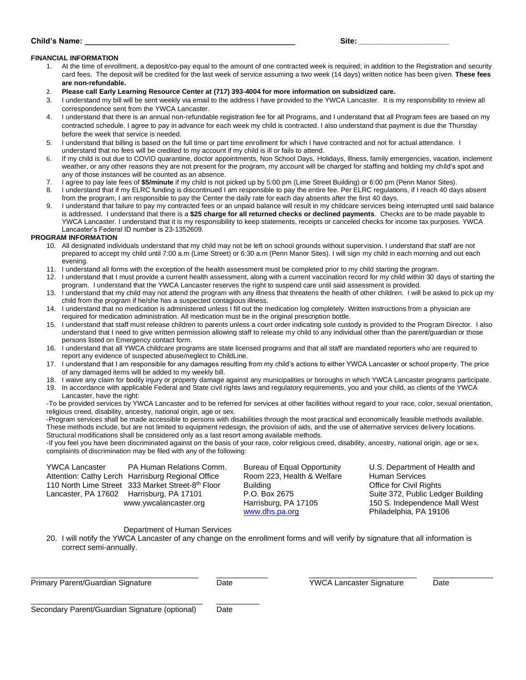| Site: |  |  |  |
|-------|--|--|--|
|       |  |  |  |

#### **Child's Name: \_\_\_\_\_\_\_\_\_\_\_\_\_\_\_\_\_\_\_\_\_\_\_\_\_\_\_\_\_\_\_\_\_\_\_\_\_\_\_\_\_\_\_\_\_\_\_\_\_ Site: \_\_\_\_\_\_\_\_\_\_\_\_\_\_\_\_\_\_\_\_\_**

#### **FINANCIAL INFORMATION**

- 1. At the time of enrollment, a deposit/co-pay equal to the amount of one contracted week is required; in addition to the Registration and security card fees. The deposit will be credited for the last week of service assuming a two week (14 days) written notice has been given. **These fees are non-refundable.**
- 2. **Please call Early Learning Resource Center at (717) 393-4004 for more information on subsidized care.**
- 3. I understand my bill will be sent weekly via email to the address I have provided to the YWCA Lancaster. It is my responsibility to review all correspondence sent from the YWCA Lancaster.
- 4. I understand that there is an annual non-refundable registration fee for all Programs, and I understand that all Program fees are based on my contracted schedule. I agree to pay in advance for each week my child is contracted. I also understand that payment is due the Thursday before the week that service is needed.
- 5. I understand that billing is based on the full time or part time enrollment for which I have contracted and not for actual attendance. I understand that no fees will be credited to my account if my child is ill or fails to attend.
- 6. If my child is out due to COVID quarantine, doctor appointments, Non School Days, Holidays, illness, family emergencies, vacation, inclement weather, or any other reasons they are not present for the program, my account will be charged for staffing and holding my child's spot and any of those instances will be counted as an absence.
- 7. I agree to pay late fees of **\$5/minute** if my child is not picked up by 5:00 pm (Lime Street Building) or 6:00 pm (Penn Manor Sites).
- 8. I understand that if my ELRC funding is discontinued I am responsible to pay the entire fee. Per ELRC regulations, if I reach 40 days absent from the program, I am responsible to pay the Center the daily rate for each day absents after the first 40 days.
- 9. I understand that failure to pay my contracted fees or an unpaid balance will result in my childcare services being interrupted until said balance is addressed. I understand that there is a **\$25 charge for all returned checks or declined payments**. Checks are to be made payable to YWCA Lancaster. I understand that it is my responsibility to keep statements, receipts or canceled checks for income tax purposes. YWCA Lancaster's Federal ID number is 23-1352609.

#### **PROGRAM INFORMATION**

- 10. All designated individuals understand that my child may not be left on school grounds without supervision. I understand that staff are not prepared to accept my child until 7:00 a.m (Lime Street) or 6:30 a.m (Penn Manor Sites). I will sign my child in each morning and out each evening.
- 11. I understand all forms with the exception of the health assessment must be completed prior to my child starting the program.
- 12. I understand that I must provide a current health assessment, along with a current vaccination record for my child within 30 days of starting the program. I understand that the YWCA Lancaster reserves the right to suspend care until said assessment is provided.
- 13. I understand that my child may not attend the program with any illness that threatens the health of other children. I will be asked to pick up my child from the program if he/she has a suspected contagious illness.
- 14. I understand that no medication is administered unless I fill out the medication log completely. Written instructions from a physician are required for medication administration. All medication must be in the original prescription bottle.
- 15. I understand that staff must release children to parents unless a court order indicating sole custody is provided to the Program Director. I also understand that I need to give written permission allowing staff to release my child to any individual other than the parent/guardian or those persons listed on Emergency contact form.
- 16. I understand that all YWCA childcare programs are state licensed programs and that all staff are mandated reporters who are required to report any evidence of suspected abuse/neglect to ChildLine.
- 17. I understand that I am responsible for any damages resulting from my child's actions to either YWCA Lancaster or school property. The price of any damaged items will be added to my weekly bill.
- 18. I waive any claim for bodily injury or property damage against any municipalities or boroughs in which YWCA Lancaster programs participate. 19. In accordance with applicable Federal and State civil rights laws and regulatory requirements, you and your child, as clients of the YWCA
- Lancaster, have the right:

-To be provided services by YWCA Lancaster and to be referred for services at other facilities without regard to your race, color, sexual orientation, religious creed, disability, ancestry, national origin, age or sex.

-Program services shall be made accessible to persons with disabilities through the most practical and economically feasible methods available. These methods include, but are not limited to equipment redesign, the provision of aids, and the use of alternative services delivery locations. Structural modifications shall be considered only as a last resort among available methods.

-If you feel you have been discriminated against on the basis of your race, color religious creed, disability, ancestry, national origin, age or sex, complaints of discrimination may be filed with any of the following:

| <b>YWCA Lancaster</b>                    | PA Human Relations Comm.                          | Bureau of Equal Opportunity | U.S. Department of Health and     |
|------------------------------------------|---------------------------------------------------|-----------------------------|-----------------------------------|
|                                          | Attention: Cathy Lerch Harrisburg Regional Office | Room 223, Health & Welfare  | <b>Human Services</b>             |
|                                          | 110 North Lime Street 333 Market Street-8th Floor | Building                    | Office for Civil Rights           |
| Lancaster, PA 17602 Harrisburg, PA 17101 |                                                   | P.O. Box 2675               | Suite 372, Public Ledger Building |
|                                          | www.ywcalancaster.org                             | Harrisburg, PA 17105        | 150 S. Independence Mall West     |
|                                          |                                                   | www.dhs.pa.org              | Philadelphia, PA 19106            |

#### Department of Human Services

20. I will notify the YWCA Lancaster of any change on the enrollment forms and will verify by signature that all information is correct semi-annually.

\_\_\_\_\_\_\_\_\_\_\_\_\_\_\_\_\_\_\_\_\_\_\_\_\_\_\_\_\_\_\_\_\_\_\_\_\_\_\_ \_\_\_\_\_\_\_\_\_\_\_\_ \_\_\_\_\_\_\_\_\_\_\_\_\_\_\_\_\_\_\_\_\_\_\_\_\_ \_\_\_\_\_\_\_\_\_\_\_\_\_\_ Primary Parent/Guardian Signature Date YWCA Lancaster Signature Date

| Secondary Parent/Guardian Signature (optional) |  | Date |
|------------------------------------------------|--|------|
|------------------------------------------------|--|------|

\_\_\_\_\_\_\_\_\_\_\_\_\_\_\_\_\_\_\_\_\_\_\_\_\_\_\_\_\_\_\_\_\_\_\_\_\_\_\_\_ \_\_\_\_\_\_\_\_\_\_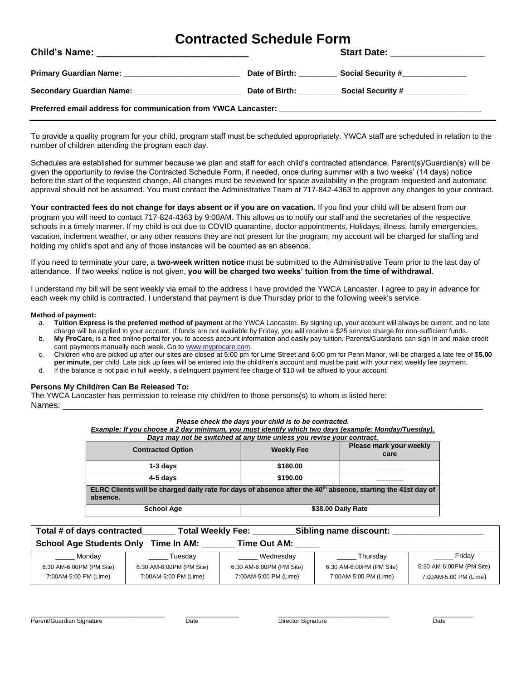### **Contracted Schedule Form**

|                                                                |                               | Start Date: ___________________                                                  |
|----------------------------------------------------------------|-------------------------------|----------------------------------------------------------------------------------|
|                                                                |                               | Date of Birth: ______________ Social Security #_________________________________ |
| Secondary Guardian Name: Secondary Guardian Name:              | Date of Birth: Date of Birth: | Social Security #________________                                                |
| Preferred email address for communication from YWCA Lancaster: |                               |                                                                                  |

To provide a quality program for your child, program staff must be scheduled appropriately. YWCA staff are scheduled in relation to the number of children attending the program each day.

Schedules are established for summer because we plan and staff for each child's contracted attendance. Parent(s)/Guardian(s) will be given the opportunity to revise the Contracted Schedule Form, if needed, once during summer with a two weeks' (14 days) notice before the start of the requested change. All changes must be reviewed for space availability in the program requested and automatic approval should not be assumed. You must contact the Administrative Team at 717-842-4363 to approve any changes to your contract.

**Your contracted fees do not change for days absent or if you are on vacation.** If you find your child will be absent from our program you will need to contact 717-824-4363 by 9:00AM. This allows us to notify our staff and the secretaries of the respective schools in a timely manner. If my child is out due to COVID quarantine, doctor appointments, Holidays, illness, family emergencies, vacation, inclement weather, or any other reasons they are not present for the program, my account will be charged for staffing and holding my child's spot and any of those instances will be counted as an absence.

If you need to terminate your care, a **two-week written notice** must be submitted to the Administrative Team prior to the last day of attendance. If two weeks' notice is not given, **you will be charged two weeks' tuition from the time of withdrawal**.

I understand my bill will be sent weekly via email to the address I have provided the YWCA Lancaster. I agree to pay in advance for each week my child is contracted. I understand that payment is due Thursday prior to the following week's service.

#### **Method of payment:**

- a. **Tuition Express is the preferred method of payment** at the YWCA Lancaster. By signing up, your account will always be current, and no late charge will be applied to your account. If funds are not available by Friday, you will receive a \$25 service charge for non-sufficient funds.
- b. **My ProCare,** is a free online portal for you to access account information and easily pay tuition. Parents/Guardians can sign in and make credit card payments manually each week. Go t[o www.myprocare.com.](http://www.myprocare.com/)
- c. Children who are picked up after our sites are closed at 5:00 pm for Lime Street and 6:00 pm for Penn Manor, will be charged a late fee of \$**5.00 per minute**, per child. Late pick up fees will be entered into the child/ren's account and must be paid with your next weekly fee payment.
- d. If the balance is not paid in full weekly, a delinquent payment fee charge of \$10 will be affixed to your account.

#### **Persons My Child/ren Can Be Released To:**

The YWCA Lancaster has permission to release my child/ren to those persons(s) to whom is listed here: Names: \_\_\_\_\_\_\_\_\_\_\_\_\_\_\_\_\_\_\_\_\_\_\_\_\_\_\_\_\_\_\_\_\_\_\_\_\_\_\_\_\_\_\_\_\_\_\_\_\_\_\_\_\_\_\_\_\_\_\_\_\_\_\_\_\_\_\_\_\_\_\_\_\_\_\_\_\_\_\_\_\_\_\_\_\_\_\_\_

*Please check the days your child is to be contracted.*

*Example: If you choose a 2 day minimum, you must identify which two days (example: Monday/Tuesday).* 

| Days may not be switched at any time unless you revise your contract.                                                                |                   |  |  |  |  |  |
|--------------------------------------------------------------------------------------------------------------------------------------|-------------------|--|--|--|--|--|
| <b>Contracted Option</b>                                                                                                             | <b>Weekly Fee</b> |  |  |  |  |  |
| $1-3$ days                                                                                                                           | \$160.00          |  |  |  |  |  |
| 4-5 davs                                                                                                                             | \$190.00          |  |  |  |  |  |
| ELRC Clients will be charged daily rate for days of absence after the 40 <sup>th</sup> absence, starting the 41st day of<br>absence. |                   |  |  |  |  |  |
| \$38.00 Daily Rate<br><b>School Age</b>                                                                                              |                   |  |  |  |  |  |

| Total # of days contracted                                     |                          | Sibling name discount:<br><b>Total Weekly Fee:</b> |                          |                          |  |
|----------------------------------------------------------------|--------------------------|----------------------------------------------------|--------------------------|--------------------------|--|
| <b>School Age Students Only</b><br>Time In AM:<br>Time Out AM: |                          |                                                    |                          |                          |  |
| Mondav                                                         | Tuesdav                  | Wednesday                                          | Thursdav                 | Friday                   |  |
| 6:30 AM-6:00PM (PM Site)                                       | 6:30 AM-6:00PM (PM Site) | 6:30 AM-6:00PM (PM Site)                           | 6:30 AM-6:00PM (PM Site) | 6:30 AM-6:00PM (PM Site) |  |
| 7:00AM-5:00 PM (Lime)                                          | 7:00AM-5:00 PM (Lime)    | 7:00AM-5:00 PM (Lime)                              | 7:00AM-5:00 PM (Lime)    | 7:00AM-5:00 PM (Lime)    |  |

\_\_\_\_\_\_\_\_\_\_\_\_\_\_\_\_\_\_\_\_\_\_\_\_\_\_\_\_\_\_\_\_\_\_\_\_\_\_\_\_ \_\_\_\_\_\_\_\_\_\_\_\_\_\_\_\_ \_\_\_\_\_\_\_\_\_\_\_\_\_\_\_\_\_\_\_\_\_\_\_\_\_\_\_\_\_\_\_\_\_ \_\_\_\_\_\_\_\_\_\_\_\_

Parent/Guardian Signature Date Date Date Director Signature Director Signature Director Signature Date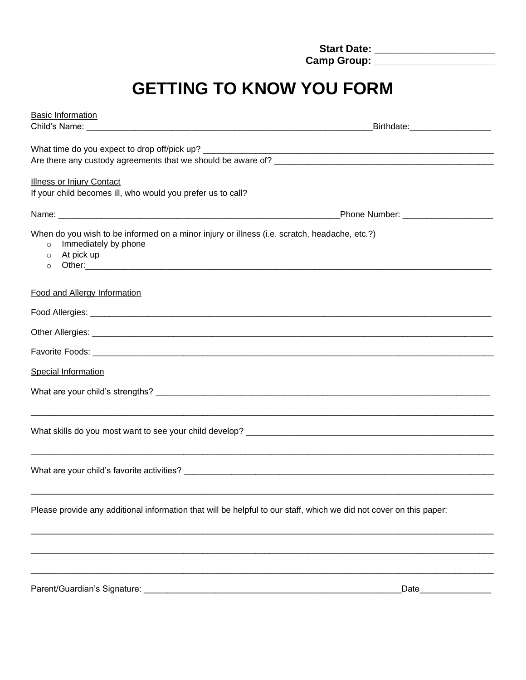| <b>Start Date:</b> |  |
|--------------------|--|
| <b>Camp Group:</b> |  |

# **GETTING TO KNOW YOU FORM**

| <b>Basic Information</b>                                                                                                                                            |                                  |
|---------------------------------------------------------------------------------------------------------------------------------------------------------------------|----------------------------------|
|                                                                                                                                                                     | _Birthdate:_____________________ |
|                                                                                                                                                                     |                                  |
| Are there any custody agreements that we should be aware of?                                                                                                        |                                  |
| <b>Illness or Injury Contact</b><br>If your child becomes ill, who would you prefer us to call?                                                                     |                                  |
|                                                                                                                                                                     |                                  |
| When do you wish to be informed on a minor injury or illness (i.e. scratch, headache, etc.?)<br>Immediately by phone<br>$\circ$<br>At pick up<br>$\circ$<br>$\circ$ |                                  |
| <b>Food and Allergy Information</b>                                                                                                                                 |                                  |
|                                                                                                                                                                     |                                  |
|                                                                                                                                                                     |                                  |
|                                                                                                                                                                     |                                  |
| <b>Special Information</b>                                                                                                                                          |                                  |
|                                                                                                                                                                     |                                  |
|                                                                                                                                                                     |                                  |
|                                                                                                                                                                     |                                  |
|                                                                                                                                                                     |                                  |
| Please provide any additional information that will be helpful to our staff, which we did not cover on this paper:                                                  |                                  |
|                                                                                                                                                                     |                                  |
| <u> 1989 - Johann Barn, mars et al. 1989 - Anna anno 1989 - Anna anno 1989 - Anna anno 1989 - Anna ann ann an t-</u>                                                | Date                             |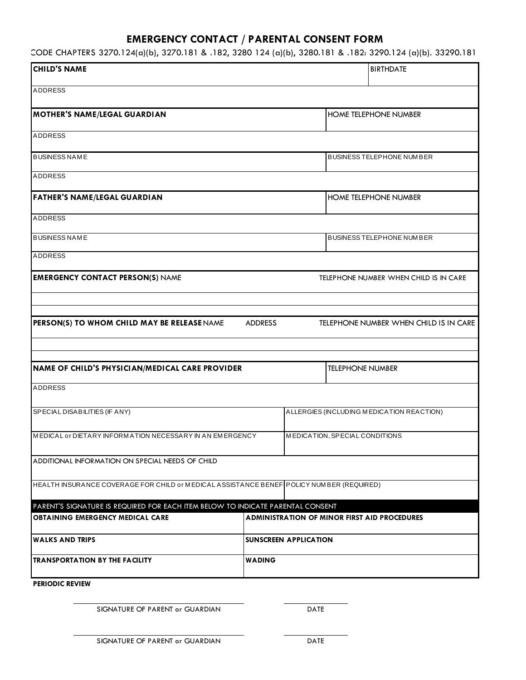### **EMERGENCY CONTACT / PARENTAL CONSENT FORM**

55 PA CODE CHAPTERS 3270.124(a)(b), 3270.181 & .182, 3280 124 (a)(b), 3280.181 & .182: 3290.124 (a)(b). 33290.181 & .182

| <b>CHILD'S NAME</b>                                                                                                        |                              |  | <b>BIRTHDATE</b>                                    |  |
|----------------------------------------------------------------------------------------------------------------------------|------------------------------|--|-----------------------------------------------------|--|
| <b>ADDRESS</b>                                                                                                             |                              |  |                                                     |  |
| <b>MOTHER'S NAME/LEGAL GUARDIAN</b>                                                                                        |                              |  | <b>HOME TELEPHONE NUMBER</b>                        |  |
| <b>ADDRESS</b>                                                                                                             |                              |  |                                                     |  |
| <b>BUSINESS NAME</b>                                                                                                       |                              |  | <b>BUSINESS TELEPHONE NUMBER</b>                    |  |
| <b>ADDRESS</b>                                                                                                             |                              |  |                                                     |  |
| <b>FATHER'S NAME/LEGAL GUARDIAN</b>                                                                                        |                              |  | <b>HOME TELEPHONE NUMBER</b>                        |  |
| <b>ADDRESS</b>                                                                                                             |                              |  |                                                     |  |
| <b>BUSINESS NAME</b>                                                                                                       |                              |  | <b>BUSINESS TELEPHONE NUMBER</b>                    |  |
| ADDRESS                                                                                                                    |                              |  |                                                     |  |
| <b>EMERGENCY CONTACT PERSON(S) NAME</b>                                                                                    |                              |  | TELEPHONE NUMBER WHEN CHILD IS IN CARE              |  |
|                                                                                                                            |                              |  |                                                     |  |
| PERSON(S) TO WHOM CHILD MAY BE RELEASE NAME                                                                                | <b>ADDRESS</b>               |  | TELEPHONE NUMBER WHEN CHILD IS IN CARE              |  |
|                                                                                                                            |                              |  |                                                     |  |
| NAME OF CHILD'S PHYSICIAN/MEDICAL CARE PROVIDER                                                                            |                              |  | <b>TELEPHONE NUMBER</b>                             |  |
| <b>ADDRESS</b>                                                                                                             |                              |  |                                                     |  |
| SPECIAL DISABILITIES (IF ANY)                                                                                              |                              |  | ALLERGIES (INCLUDING MEDICATION REACTION)           |  |
| MEDICAL or DIETARY INFORMATION NECESSARY IN AN EMERGENCY                                                                   |                              |  | MEDICATION, SPECIAL CONDITIONS                      |  |
| ADDITIONAL INFORMATION ON SPECIAL NEEDS OF CHILD                                                                           |                              |  |                                                     |  |
| HEALTH INSURANCE COVERAGE FOR CHILD or MEDICAL ASSISTANCE BENEF POLICY NUMBER (REQUIRED)                                   |                              |  |                                                     |  |
|                                                                                                                            |                              |  |                                                     |  |
| PARENT'S SIGNATURE IS REQUIRED FOR EACH ITEM BELOW TO INDICATE PARENTAL CONSENT<br><b>OBTAINING EMERGENCY MEDICAL CARE</b> |                              |  | <b>ADMINISTRATION OF MINOR FIRST AID PROCEDURES</b> |  |
| <b>WALKS AND TRIPS</b>                                                                                                     | <b>SUNSCREEN APPLICATION</b> |  |                                                     |  |
| <b>TRANSPORTATION BY THE FACILITY</b>                                                                                      | WADING                       |  |                                                     |  |
| <b>PERIODIC REVIEW</b>                                                                                                     |                              |  |                                                     |  |

SIGNATURE OF PARENT or GUARDIAN DATE